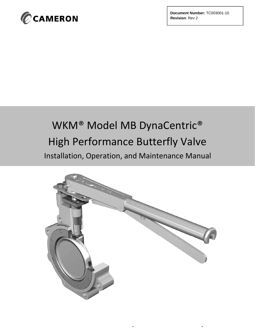

**Document Number:** TC003001-10 **Revision**: Rev 2

# WKM® Model MB DynaCentric® High Performance Butterfly Valve Installation, Operation, and Maintenance Manual

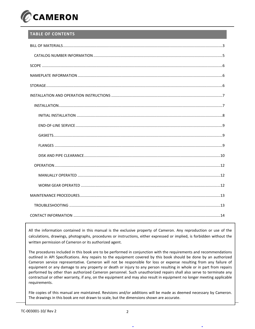

## **TABLE OF CONTENTS**

All the information contained in this manual is the exclusive property of Cameron. Any reproduction or use of the calculations, drawings, photographs, procedures or instructions, either expressed or implied, is forbidden without the written permission of Cameron or its authorized agent.

The procedures included in this book are to be performed in conjunction with the requirements and recommendations outlined in API Specifications. Any repairs to the equipment covered by this book should be done by an authorized Cameron service representative. Cameron will not be responsible for loss or expense resulting from any failure of equipment or any damage to any property or death or injury to any person resulting in whole or in part from repairs performed by other than authorized Cameron personnel. Such unauthorized repairs shall also serve to terminate any contractual or other warranty, if any, on the equipment and may also result in equipment no longer meeting applicable requirements.

File copies of this manual are maintained. Revisions and/or additions will be made as deemed necessary by Cameron. The drawings in this book are not drawn to scale, but the dimensions shown are accurate.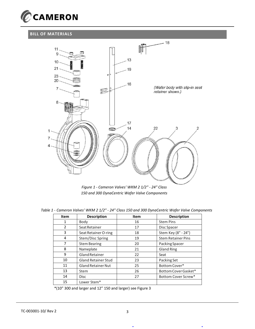

## **BILL OF MATERIALS**



*Figure 1 - Cameron Valves' WKM 2 1/2" - 24" Class 150 and 300 DynaCentric Wafer Valve Components*

|  |  |  |  |  |  |  | Table 1 - Cameron Valves' WKM 2 1/2" - 24" Class 150 and 300 DynaCentric Wafer Valve Components |  |
|--|--|--|--|--|--|--|-------------------------------------------------------------------------------------------------|--|
|--|--|--|--|--|--|--|-------------------------------------------------------------------------------------------------|--|

| <b>Item</b>    | <b>Description</b>         | Item | <b>Description</b>        |
|----------------|----------------------------|------|---------------------------|
|                | Body                       | 16   | <b>Stem Pins</b>          |
| $\overline{2}$ | Seat Retainer              | 17   | Disc Spacer               |
| 3              | Seat Retainer O-ring       | 18   | Stem Key (8" - 24")       |
| 4              | Stem/Disc Spring           | 19   | <b>Stem Retainer Pins</b> |
| 7              | <b>Stem Bearing</b>        | 20   | Packing Spacer            |
| 8              | Nameplate                  | 21   | <b>Gland Ring</b>         |
| 9              | <b>Gland Retainer</b>      | 22   | Seat                      |
| 10             | <b>Gland Retainer Stud</b> | 23   | Packing Set               |
| 11             | <b>Gland Retainer Nut</b>  | 25   | Bottom Cover*             |
| 13             | Stem                       | 26   | Bottom Cover Gasket*      |
| 14             | <b>Disc</b>                | 27   | Bottom Cover Screw*       |
| 15             | Lower Stem*                |      |                           |

\*(10" 300 and larger and 12" 150 and larger) see Figure 3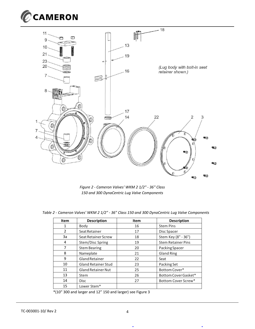![](_page_3_Picture_0.jpeg)

![](_page_3_Figure_1.jpeg)

*Figure 2 - Cameron Valves' WKM 2 1/2" - 36" Class 150 and 300 DynaCentric Lug Valve Components*

| <b>Item</b> | <b>Description</b>         | Item | <b>Description</b>        |
|-------------|----------------------------|------|---------------------------|
| 1           | Body                       | 16   | <b>Stem Pins</b>          |
| 2           | Seat Retainer              | 17   | Disc Spacer               |
| 3a          | Seat Retainer Screw        | 18   | Stem Key (8" - 36")       |
| 4           | Stem/Disc Spring           | 19   | <b>Stem Retainer Pins</b> |
| 7           | <b>Stem Bearing</b>        | 20   | Packing Spacer            |
| 8           | Nameplate                  | 21   | <b>Gland Ring</b>         |
| 9           | <b>Gland Retainer</b>      | 22   | Seat                      |
| 10          | <b>Gland Retainer Stud</b> | 23   | Packing Set               |
| 11          | <b>Gland Retainer Nut</b>  | 25   | Bottom Cover*             |
| 13          | <b>Stem</b>                | 26   | Bottom Cover Gasket*      |
| 14          | <b>Disc</b>                | 27   | Bottom Cover Screw*       |
| 15          | Lower Stem*                |      |                           |

*Table 2 - Cameron Valves' WKM 2 1/2" - 36" Class 150 and 300 DynaCentric Lug Valve Components*

\*(10" 300 and larger and 12" 150 and larger) see Figure 3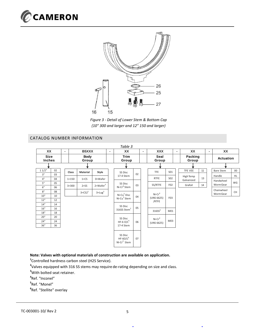![](_page_4_Picture_0.jpeg)

![](_page_4_Figure_1.jpeg)

*Figure 3 - Detail of Lower Stem & Bottom Cap (10" 300 and larger and 12" 150 and larger)*

#### CATALOG NUMBER INFORMATION

![](_page_4_Figure_4.jpeg)

#### **Note: Valves with optional materials of construction are available on application.**

**1** Controlled hardness carbon steel (H2S Service).

**2** Valves equipped with 316 SS stems may require de-rating depending on size and class.

**<sup>3</sup>**With bolted seat retainer.

**4** Ref. "Inconel"

**5** Ref. "Monel"

**6** Ref. "Stellite" overlay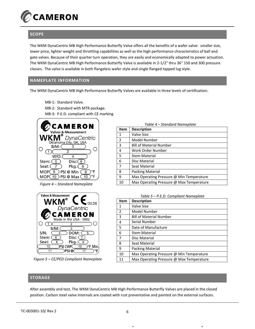![](_page_5_Picture_0.jpeg)

#### **SCOPE**

The WKM DynaCentric MB High Performance Butterfly Valve offers all the benefits of a wafer valve: smaller size, lower price, lighter weight and throttling capabilities as well as the high performance characteristics of ball and gate valves. Because of their quarter turn operation, they are easily and economically adapted to power actuation. The WKM DynaCentric MB High Performance Butterfly Valve is available in 2-1/2" thru 36" 150 and 300 pressure classes. The valve is available in both flangeless wafer style and single flanged tapped lug style.

## **NAMEPLATE INFORMATION**

The WKM DynaCentric MB High Performance Butterfly Valves are available in three levels of certification:

MB-1: Standard Valve. MB-2: Standard with MTR package. MB-3: P.E.D. compliant with CE marking

![](_page_5_Picture_6.jpeg)

*Figure 4 – Standard Nameplate*

![](_page_5_Picture_8.jpeg)

*Figure 5 – CE/PED Compliant Nameplate*

| Table 4 – Standard Nameplate |                                          |  |  |  |  |
|------------------------------|------------------------------------------|--|--|--|--|
| Item                         | <b>Description</b>                       |  |  |  |  |
| 1                            | Valve Size                               |  |  |  |  |
| $\overline{2}$               | Model Number                             |  |  |  |  |
| 3                            | <b>Bill of Material Number</b>           |  |  |  |  |
| 4                            | Work Order Number                        |  |  |  |  |
| 5                            | <b>Stem Material</b>                     |  |  |  |  |
| 6                            | Disc Material                            |  |  |  |  |
| $\overline{7}$               | Seat Material                            |  |  |  |  |
| 8                            | Packing Material                         |  |  |  |  |
| 9                            | Max Operating Pressure @ Min Temperature |  |  |  |  |
| 10                           | Max Operating Pressure @ Max Temperature |  |  |  |  |

*Table 5 – P.E.D. Compliant Nameplate*

| Item | <b>Description</b>                       |
|------|------------------------------------------|
| 1    | Valve Size                               |
| 2    | Model Number                             |
| 3    | <b>Bill of Material Number</b>           |
| 4    | Serial Number                            |
| 5    | Date of Manufacture                      |
| 6    | <b>Stem Material</b>                     |
| 7    | Disc Material                            |
| 8    | Seat Material                            |
| 9    | Packing Material                         |
| 10   | Max Operating Pressure @ Min Temperature |
| 11   | Max Operating Pressure @ Max Temperature |

#### **STORAGE**

After assembly and test, The WKM DynaCentric MB High Performance Butterfly Valves are placed in the closed position. Carbon steel valve internals are coated with rust preventative and painted on the external surfaces.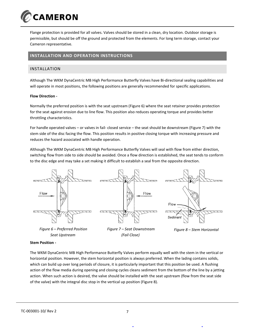![](_page_6_Picture_0.jpeg)

Flange protection is provided for all valves. Valves should be stored in a clean, dry location. Outdoor storage is permissible, but should be off the ground and protected from the elements. For long term storage, contact your Cameron representative.

#### **INSTALLATION AND OPERATION INSTRUCTIONS**

#### INSTALLATION

Although The WKM DynaCentric MB High Performance Butterfly Valves have Bi-directional sealing capabilities and will operate in most positions, the following positions are generally recommended for specific applications.

#### **Flow Direction -**

Normally the preferred position is with the seat upstream (Figure 6) where the seat retainer provides protection for the seat against erosion due to line flow. This position also reduces operating torque and provides better throttling characteristics.

For handle operated valves – or valves in fail- closed service – the seat should be downstream (Figure 7) with the stem side of the disc facing the flow. This position results in positive closing torque with increasing pressure and reduces the hazard associated with handle operation.

Although The WKM DynaCentric MB High Performance Butterfly Valves will seal with flow from either direction, switching flow from side to side should be avoided. Once a flow direction is established, the seat tends to conform to the disc edge and may take a set making it difficult to establish a seal from the opposite direction.

![](_page_6_Figure_9.jpeg)

*Seat Upstream*

![](_page_6_Figure_11.jpeg)

#### **Stem Position -**

The WKM DynaCentric MB High Performance Butterfly Valves perform equally well with the stem in the vertical or horizontal position. However, the stem horizontal position is always preferred. When the lading contains solids, which can build up over long periods of closure, it is particularly important that this position be used. A flushing action of the flow media during opening and closing cycles cleans sediment from the bottom of the line by a jetting action. When such action is desired, the valve should be installed with the seat upstream (flow from the seat side of the valve) with the integral disc stop in the vertical up position (Figure 8).

*(Fail Close)*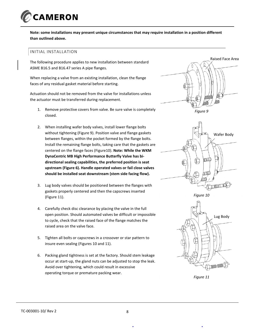![](_page_7_Picture_0.jpeg)

**Note: some installations may present unique circumstances that may require installation in a position different than outlined above.**

#### INITIAL INSTALLATION

The following procedure applies to new installation between standard ASME B16.5 and B16.47 series A pipe flanges.

When replacing a valve from an existing installation, clean the flange faces of any residual gasket material before starting.

Actuation should not be removed from the valve for installations unless the actuator must be transferred during replacement.

- 1. Remove protective covers from valve. Be sure valve is completely closed.
- 2. When installing wafer body valves, install lower flange bolts without tightening (Figure 9). Position valve and flange gaskets between flanges, within the pocket formed by the flange bolts. Install the remaining flange bolts, taking care that the gaskets are centered on the flange faces (Figure10). **Note: While the WKM DynaCentric MB High Performance Butterfly Valve has bidirectional sealing capabilities, the preferred position is seat upstream (Figure 6). Handle operated valves or fail close valves should be installed seat downstream (stem side facing flow).**
- 3. Lug body valves should be positioned between the flanges with gaskets properly centered and then the capscrews inserted (Figure 11).
- 4. Carefully check disc clearance by placing the valve in the full open position. Should automated valves be difficult or impossible to cycle, check that the raised face of the flange matches the raised area on the valve face.
- 5. Tighten all bolts or capscrews in a crossover or star pattern to insure even sealing (Figures 10 and 11).
- 6. Packing gland tightness is set at the factory. Should stem leakage occur at start-up, the gland nuts can be adjusted to stop the leak. Avoid over tightening, which could result in excessive operating torque or premature packing wear.

![](_page_7_Picture_12.jpeg)

![](_page_7_Picture_13.jpeg)

*Figure 10*

![](_page_7_Figure_15.jpeg)

*Figure 11*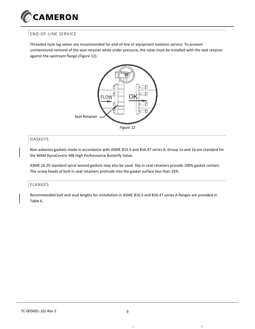![](_page_8_Picture_0.jpeg)

## END-OF-LINE SERVICE

Threaded style lug valves are recommended for end-of-line or equipment isolation service. To prevent unintentional removal of the seat retainer while under pressure, the valve must be installed with the seat retainer against the upstream flange (Figure 12).

![](_page_8_Figure_3.jpeg)

![](_page_8_Figure_4.jpeg)

Non-asbestos gaskets made in accordance with ASME B16.5 and B16.47 series A, Group 1a and 1b are standard for the WKM DynaCentric MB High Performance Butterfly Valve.

ASME 16.20 standard spiral wound gaskets may also be used. Slip-in seat retainers provide 100% gasket contact. The screw heads of bolt-in seat retainers protrude into the gasket surface less than 33%.

#### FLANGES

Recommended bolt and stud lengths for installation in ASME B16.5 and B16.47 series A flanges are provided in Table 6.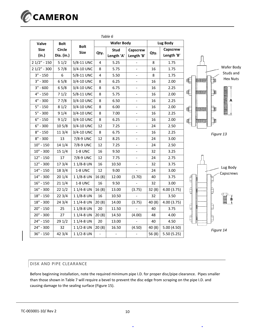![](_page_9_Picture_0.jpeg)

|               |                  |               |                         | Tuble o                  |                          |         |            |                                 |
|---------------|------------------|---------------|-------------------------|--------------------------|--------------------------|---------|------------|---------------------------------|
| Valve         | <b>Bolt</b>      | <b>Bolt</b>   |                         | <b>Wafer Body</b>        |                          |         | Lug Body   |                                 |
| <b>Size</b>   | <b>Circle</b>    | <b>Size</b>   | Qty.                    | <b>Stud</b>              | Capscrew                 | Qty.    | Capscrew   |                                 |
| (in.)         | Dia. (in.)       |               |                         | Length 'A'               | Length 'B'               |         | Length 'B' |                                 |
| $21/2" - 150$ | 51/2             | 5/8-11 UNC    | 4                       | 5.25                     |                          | 8       | 1.75       |                                 |
| $21/2" - 300$ | 57/8             | 3/4-10 UNC    | 8                       | 5.75                     |                          | 16      | 1.75       | Wafer Body                      |
| $3" - 150$    | $\boldsymbol{6}$ | 5/8-11 UNC    | $\overline{\mathbf{4}}$ | 5.50                     | $\overline{\phantom{a}}$ | $\,8\,$ | 1.75       | Studs and                       |
| $3" - 300$    | 65/8             | 3/4-10 UNC    | 8                       | 6.25                     |                          | 16      | 2.00       | <b>Hex Nuts</b><br>OC.<br>HULL. |
| $3" - 600$    | 65/8             | 3/4-10 UNC    | 8                       | 6.75                     |                          | 16      | 2.25       |                                 |
| $4" - 150$    | 71/2             | 5/8-11 UNC    | 8                       | 5.75                     | $\overline{\phantom{a}}$ | 16      | 2.00       | Ę<br><b>CLEANS</b>              |
| $4" - 300$    | 77/8             | 3/4-10 UNC    | 8                       | 6.50                     |                          | 16      | 2.25       | <b>THE DRIVERS OF SALES</b>     |
| $5" - 150$    | 81/2             | 3/4-10 UNC    | 8                       | 6.00                     | $\overline{\phantom{0}}$ | 16      | 2.00       | C<br><b>THEFT THE</b>           |
| $5" - 300$    | 91/4             | 3/4-10 UNC    | 8                       | 7.00                     | $\overline{\phantom{a}}$ | 16      | 2.25       |                                 |
| $6" - 150$    | 91/2             | 3/4-10 UNC    | 8                       | 6.25                     |                          | 16      | 2.00       | ¢<br><b>WITH</b>                |
| $6" - 300$    | 105/8            | 3/4-10 UNC    | 12                      | 7.25                     | $\overline{\phantom{a}}$ | 24      | 2.50       |                                 |
| $8" - 150$    | 11 3/4           | 3/4-10 UNC    | 8                       | 6.75                     | $\overline{\phantom{a}}$ | 16      | 2.25       | Figure 13                       |
| $8" - 300$    | 13               | 7/8-9 UNC     | 12                      | 8.25                     |                          | 24      | 3.00       |                                 |
| $10" - 150$   | 14 1/4           | 7/8-9 UNC     | 12                      | 7.25                     | $\overline{\phantom{a}}$ | 24      | 2.50       |                                 |
| $10" - 300$   | 151/4            | 1-8 UNC       | 16                      | 9.50                     | $\overline{\phantom{a}}$ | 32      | 3.25       |                                 |
| $12" - 150$   | 17               | 7/8-9 UNC     | 12                      | 7.75                     |                          | 24      | 2.75       |                                 |
| $12" - 300$   | 173/4            | 11/8-8 UN     | 16                      | 10.50                    | $\overline{\phantom{a}}$ | 32      | 3.75       | Lug Body                        |
| $14" - 150$   | 18 3/4           | 1-8 UNC       | 12                      | 9.00                     | $\overline{\phantom{0}}$ | 24      | 3.00       | Capscrews                       |
| $14" - 300$   | 201/4            | 11/8-8 UN     | 16(8)                   | 12.00                    | (3.70)                   | 40      | 3.75       | Ē<br>B                          |
| $16" - 150$   | 211/4            | 1-8 UNC       | 16                      | 9.50                     |                          | 32      | 3.00       |                                 |
| $16" - 300$   | 221/2            | 11/4-8 UN     | 16(8)                   | 13.00                    | (3.75)                   | 32(8)   | 4.00(3.75) | É<br>₿                          |
| $18" - 150$   | 223/4            | 11/8-8 UN     | 16                      | 10.50                    |                          | 32      | 3.50       |                                 |
| $18" - 300$   | 243/4            | 11/4-8 UN     | 20(8)                   | 14.00                    | (3.75)                   | 40(8)   | 4.00(3.75) | B<br>†                          |
| $20" - 150$   | 25               | 11/8-8 UN     | 20                      | 11.50                    |                          | 40      | 3.75       | Ę<br>þ                          |
| $20" - 300$   | 27               | 11/4-8 UN     | 20(8)                   | 14.50                    | (4.00)                   | 48      | 4.00       | Ę                               |
| $24" - 150$   | 291/2            | 11/4-8 UN     | 20                      | 13.00                    |                          | 40      | 4.50       |                                 |
| 24" - 300     | 32               | $11/2 - 8$ UN | 20(8)                   | 16.50                    | (4.50)                   | 40(8)   | 5.00(4.50) | Figure 14                       |
| $36" - 150$   | 423/4            | $11/2 - 8$ UN | $\blacksquare$          | $\overline{\phantom{a}}$ |                          | 56(8)   | 5.50(5.25) |                                 |

#### *Table 6*

#### DISK AND PIPE CLEARANCE

Before beginning installation, note the required minimum pipe I.D. for proper disc/pipe clearance. Pipes smaller than those shown in Table 7 will require a bevel to prevent the disc edge from scraping on the pipe I.D. and causing damage to the sealing surface (Figure 15).

 $\ddot{\phantom{a}}$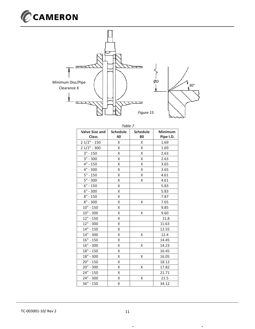![](_page_10_Picture_0.jpeg)

![](_page_10_Figure_1.jpeg)

| Table 7                               |                       |                       |                             |  |  |  |
|---------------------------------------|-----------------------|-----------------------|-----------------------------|--|--|--|
| <b>Valve Size and</b><br><b>Class</b> | <b>Schedule</b><br>40 | <b>Schedule</b><br>80 | <b>Minimum</b><br>Pipe I.D. |  |  |  |
| $21/2" - 150$                         | X                     | X                     | 1.69                        |  |  |  |
| $21/2" - 300$                         | X                     | X.                    | 1.69                        |  |  |  |
| $3" - 150$                            | X                     | X                     | 2.63                        |  |  |  |
| $3" - 300$                            | Χ                     | Χ                     | 2.63                        |  |  |  |
| $4" - 150$                            | Χ                     | Χ                     | 3.65                        |  |  |  |
| 4" - 300                              | Χ                     | Χ                     | 3.65                        |  |  |  |
| $5" - 150$                            | Χ                     | X                     | 4.61                        |  |  |  |
| $5" - 300$                            | Χ                     | Χ                     | 4.61                        |  |  |  |
| $6" - 150$                            | Χ                     |                       | 5.83                        |  |  |  |
| $6" - 300$                            | Χ                     |                       | 5.83                        |  |  |  |
| $8" - 150$                            | Χ                     |                       | 7.87                        |  |  |  |
| $8" - 300$                            | Χ                     | X                     | 7.65                        |  |  |  |
| $10" - 150$                           | Χ                     |                       | 9.85                        |  |  |  |
| $10" - 300$                           | Χ                     | Χ                     | 9.60                        |  |  |  |
| $12" - 150$                           | Χ                     |                       | 11.8                        |  |  |  |
| $12" - 300$                           | Χ                     |                       | 11.63                       |  |  |  |
| $14" - 150$                           | Χ                     |                       | 12.55                       |  |  |  |
| 14" - 300                             | Χ                     | Χ                     | 12.4                        |  |  |  |
| $16" - 150$                           | Χ                     |                       | 14.45                       |  |  |  |
| $16" - 300$                           | Χ                     | Χ                     | 14.23                       |  |  |  |
| $18" - 150$                           | Χ                     |                       | 16.45                       |  |  |  |
| 18" - 300                             | X                     | X                     | 16.05                       |  |  |  |
| $20" - 150$                           | Χ                     |                       | 18.12                       |  |  |  |
| $20" - 300$                           | Χ                     | Χ                     | 17.82                       |  |  |  |
| $24" - 150$                           | Χ                     |                       | 21.71                       |  |  |  |
| 24" - 300                             | X                     | Χ                     | 21.5                        |  |  |  |
| $36" - 150$                           | X                     |                       | 34.12                       |  |  |  |

 $\ddot{\phantom{0}}$ 

 $\bullet$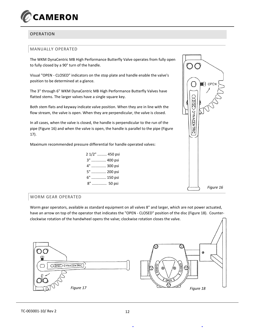![](_page_11_Picture_0.jpeg)

## OPERATION

#### MANUALLY OPERATED

The WKM DynaCentric MB High Performance Butterfly Valve operates from fully open to fully closed by a 90° turn of the handle.

Visual "OPEN - CLOSED" indicators on the stop plate and handle enable the valve's position to be determined at a glance.

The 3" through 6" WKM DynaCentric MB High Performance Butterfly Valves have flatted stems. The larger valves have a single square key.

Both stem flats and keyway indicate valve position. When they are in line with the flow stream, the valve is open. When they are perpendicular, the valve is closed.

In all cases, when the valve is closed, the handle is perpendicular to the run of the pipe (Figure 16) and when the valve is open, the handle is parallel to the pipe (Figure 17).

Maximum recommended pressure differential for handle operated valves:

|    | 2 1/2"  450 psi |
|----|-----------------|
|    | 3"  400 psi     |
|    | 4"  300 psi     |
| 5" | 200 psi         |
|    | 6"  150 psi     |
|    | 8"  50 psi      |

![](_page_11_Figure_10.jpeg)

#### WORM GEAR OPERATED

Worm gear operators, available as standard equipment on all valves 8" and larger, which are not power actuated, have an arrow on top of the operator that indicates the "OPEN - CLOSED" position of the disc (Figure 18). Counterclockwise rotation of the handwheel opens the valve; clockwise rotation closes the valve.

![](_page_11_Figure_13.jpeg)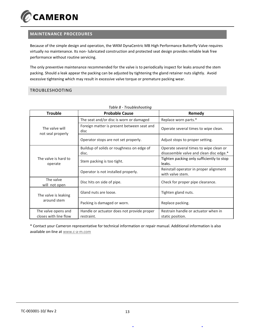![](_page_12_Picture_0.jpeg)

## **MAINTENANCE PROCEDURES**

Because of the simple design and operation, the WKM DynaCentric MB High Performance Butterfly Valve requires virtually no maintenance. Its non- lubricated construction and protected seat design provides reliable leak free performance without routine servicing.

The only preventive maintenance recommended for the valve is to periodically inspect for leaks around the stem packing. Should a leak appear the packing can be adjusted by tightening the gland retainer nuts slightly. Avoid excessive tightening which may result in excessive valve torque or premature packing wear.

## TROUBLESHOOTING

| <b>Trouble</b>                               | <b>Probable Cause</b>                                    | Remedy                                                                            |
|----------------------------------------------|----------------------------------------------------------|-----------------------------------------------------------------------------------|
|                                              | The seat and/or disc is worn or damaged                  | Replace worn parts.*                                                              |
| The valve will<br>not seal properly          | Foreign matter is present between seat and<br>disc       | Operate several times to wipe clean.                                              |
|                                              | Operator stops are not set properly.                     | Adjust stops to proper setting.                                                   |
|                                              | Buildup of solids or roughness on edge of<br>disc.       | Operate several times to wipe clean or<br>disassemble valve and clean disc edge.* |
| The valve is hard to<br>operate              | Stem packing is too tight.                               | Tighten packing only sufficiently to stop<br>leaks.                               |
|                                              | Operator is not installed properly.                      | Reinstall operator in proper alignment<br>with valve stem.                        |
| The valve<br>will not open                   | Disc hits on side of pipe.                               | Check for proper pipe clearance.                                                  |
| The valve is leaking<br>around stem          | Gland nuts are loose.                                    | Tighten gland nuts.                                                               |
|                                              | Packing is damaged or worn.                              | Replace packing.                                                                  |
| The valve opens and<br>closes with line flow | Handle or actuator does not provide proper<br>restraint. | Restrain handle or actuator when in<br>static position.                           |

## *Table 8 - Troubleshooting*

\* Contact your Cameron representative for technical information or repair manual. Additional information is also available on-line at www.c-a-m.com